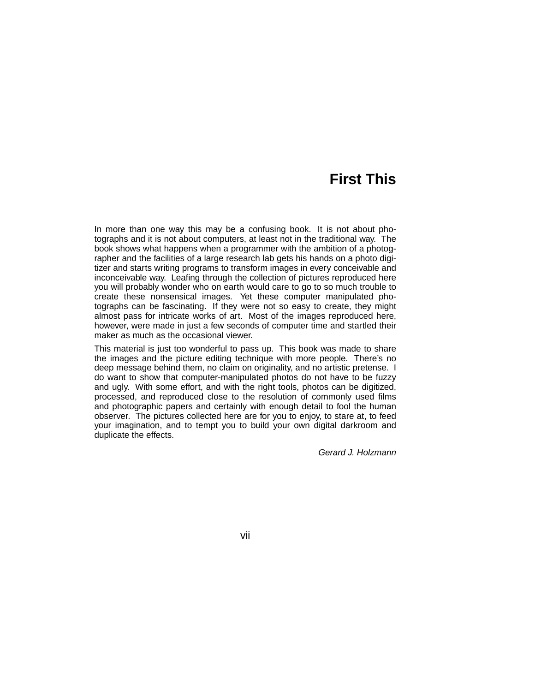## **First This**

In more than one way this may be a confusing book. It is not about photographs and it is not about computers, at least not in the traditional way. The book shows what happens when a programmer with the ambition of a photographer and the facilities of a large research lab gets his hands on a photo digitizer and starts writing programs to transform images in every conceivable and inconceivable way. Leafing through the collection of pictures reproduced here you will probably wonder who on earth would care to go to so much trouble to create these nonsensical images. Yet these computer manipulated photographs can be fascinating. If they were not so easy to create, they might almost pass for intricate works of art. Most of the images reproduced here, however, were made in just a few seconds of computer time and startled their maker as much as the occasional viewer.

This material is just too wonderful to pass up. This book was made to share the images and the picture editing technique with more people. There's no deep message behind them, no claim on originality, and no artistic pretense. I do want to show that computer-manipulated photos do not have to be fuzzy and ugly. With some effort, and with the right tools, photos can be digitized, processed, and reproduced close to the resolution of commonly used films and photographic papers and certainly with enough detail to fool the human observer. The pictures collected here are for you to enjoy, to stare at, to feed your imagination, and to tempt you to build your own digital darkroom and duplicate the effects.

Gerard J. Holzmann

vii